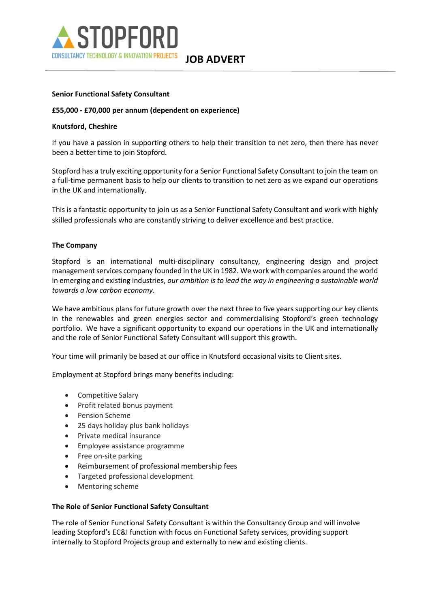

JOB ADVERT

## Senior Functional Safety Consultant

#### £55,000 - £70,000 per annum (dependent on experience)

#### Knutsford, Cheshire

If you have a passion in supporting others to help their transition to net zero, then there has never been a better time to join Stopford.

Stopford has a truly exciting opportunity for a Senior Functional Safety Consultant to join the team on a full-time permanent basis to help our clients to transition to net zero as we expand our operations in the UK and internationally.

This is a fantastic opportunity to join us as a Senior Functional Safety Consultant and work with highly skilled professionals who are constantly striving to deliver excellence and best practice.

#### The Company

Stopford is an international multi-disciplinary consultancy, engineering design and project management services company founded in the UK in 1982. We work with companies around the world in emerging and existing industries, our ambition is to lead the way in engineering a sustainable world towards a low carbon economy.  

We have ambitious plans for future growth over the next three to five years supporting our key clients in the renewables and green energies sector and commercialising Stopford's green technology portfolio.  We have a significant opportunity to expand our operations in the UK and internationally and the role of Senior Functional Safety Consultant will support this growth.  

Your time will primarily be based at our office in Knutsford occasional visits to Client sites.

Employment at Stopford brings many benefits including: 

- Competitive Salary
- Profit related bonus payment
- Pension Scheme
- 25 days holiday plus bank holidays
- Private medical insurance
- Employee assistance programme
- Free on-site parking
- Reimbursement of professional membership fees
- Targeted professional development
- Mentoring scheme

#### The Role of Senior Functional Safety Consultant

The role of Senior Functional Safety Consultant is within the Consultancy Group and will involve leading Stopford's EC&I function with focus on Functional Safety services, providing support internally to Stopford Projects group and externally to new and existing clients.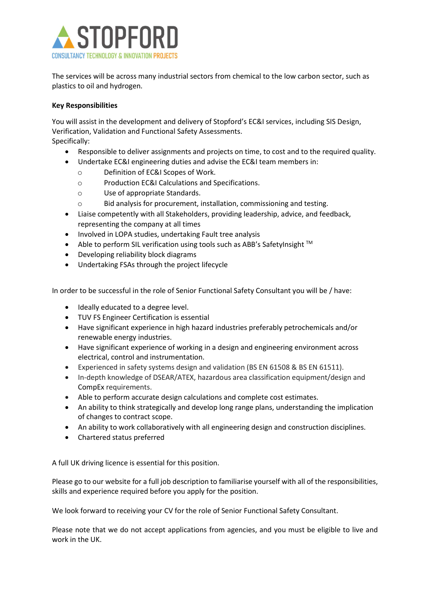

The services will be across many industrial sectors from chemical to the low carbon sector, such as plastics to oil and hydrogen.

## Key Responsibilities

You will assist in the development and delivery of Stopford's EC&I services, including SIS Design, Verification, Validation and Functional Safety Assessments. Specifically:

- Responsible to deliver assignments and projects on time, to cost and to the required quality.
- Undertake EC&I engineering duties and advise the EC&I team members in:
	- o Definition of EC&I Scopes of Work.
	- o Production EC&I Calculations and Specifications.
	- o Use of appropriate Standards.
	- o Bid analysis for procurement, installation, commissioning and testing.
- Liaise competently with all Stakeholders, providing leadership, advice, and feedback, representing the company at all times
- Involved in LOPA studies, undertaking Fault tree analysis
- Able to perform SIL verification using tools such as ABB's SafetyInsight  $TM$
- Developing reliability block diagrams
- Undertaking FSAs through the project lifecycle

In order to be successful in the role of Senior Functional Safety Consultant you will be / have:

- Ideally educated to a degree level.
- TUV FS Engineer Certification is essential
- Have significant experience in high hazard industries preferably petrochemicals and/or renewable energy industries.
- Have significant experience of working in a design and engineering environment across electrical, control and instrumentation.
- Experienced in safety systems design and validation (BS EN 61508 & BS EN 61511).
- In-depth knowledge of DSEAR/ATEX, hazardous area classification equipment/design and CompEx requirements.
- Able to perform accurate design calculations and complete cost estimates.
- An ability to think strategically and develop long range plans, understanding the implication of changes to contract scope.
- An ability to work collaboratively with all engineering design and construction disciplines.
- Chartered status preferred

A full UK driving licence is essential for this position.

Please go to our website for a full job description to familiarise yourself with all of the responsibilities, skills and experience required before you apply for the position.  

We look forward to receiving your CV for the role of Senior Functional Safety Consultant.     

Please note that we do not accept applications from agencies, and you must be eligible to live and work in the UK.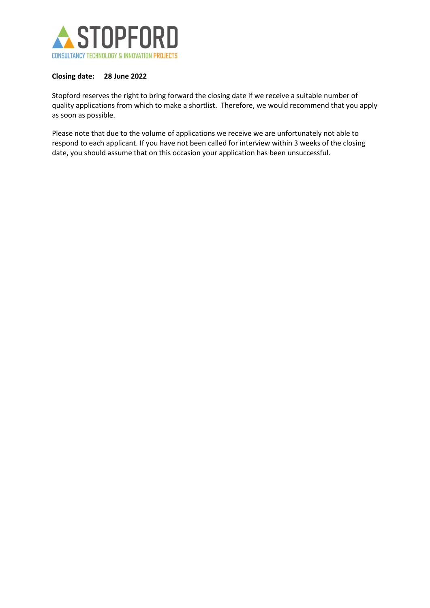

## Closing date: 28 June 2022

Stopford reserves the right to bring forward the closing date if we receive a suitable number of quality applications from which to make a shortlist.  Therefore, we would recommend that you apply as soon as possible.   

Please note that due to the volume of applications we receive we are unfortunately not able to respond to each applicant. If you have not been called for interview within 3 weeks of the closing date, you should assume that on this occasion your application has been unsuccessful.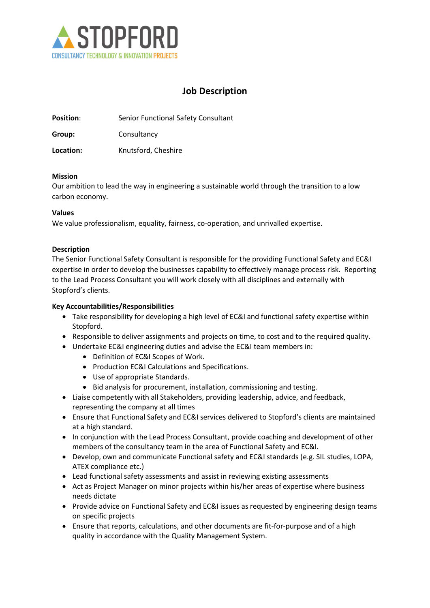

# Job Description

Position: Senior Functional Safety Consultant

Group: Consultancy

Location: Knutsford, Cheshire

#### Mission

Our ambition to lead the way in engineering a sustainable world through the transition to a low carbon economy.

## Values

We value professionalism, equality, fairness, co-operation, and unrivalled expertise.

## **Description**

The Senior Functional Safety Consultant is responsible for the providing Functional Safety and EC&I expertise in order to develop the businesses capability to effectively manage process risk. Reporting to the Lead Process Consultant you will work closely with all disciplines and externally with Stopford's clients.

### Key Accountabilities/Responsibilities

- Take responsibility for developing a high level of EC&I and functional safety expertise within Stopford.
- Responsible to deliver assignments and projects on time, to cost and to the required quality.
- Undertake EC&I engineering duties and advise the EC&I team members in:
	- Definition of EC&I Scopes of Work.
	- **•** Production EC&I Calculations and Specifications.
	- Use of appropriate Standards.
	- Bid analysis for procurement, installation, commissioning and testing.
- Liaise competently with all Stakeholders, providing leadership, advice, and feedback, representing the company at all times
- Ensure that Functional Safety and EC&I services delivered to Stopford's clients are maintained at a high standard.
- In conjunction with the Lead Process Consultant, provide coaching and development of other members of the consultancy team in the area of Functional Safety and EC&I.
- Develop, own and communicate Functional safety and EC&I standards (e.g. SIL studies, LOPA, ATEX compliance etc.)
- Lead functional safety assessments and assist in reviewing existing assessments
- Act as Project Manager on minor projects within his/her areas of expertise where business needs dictate
- Provide advice on Functional Safety and EC&I issues as requested by engineering design teams on specific projects
- Ensure that reports, calculations, and other documents are fit-for-purpose and of a high quality in accordance with the Quality Management System.